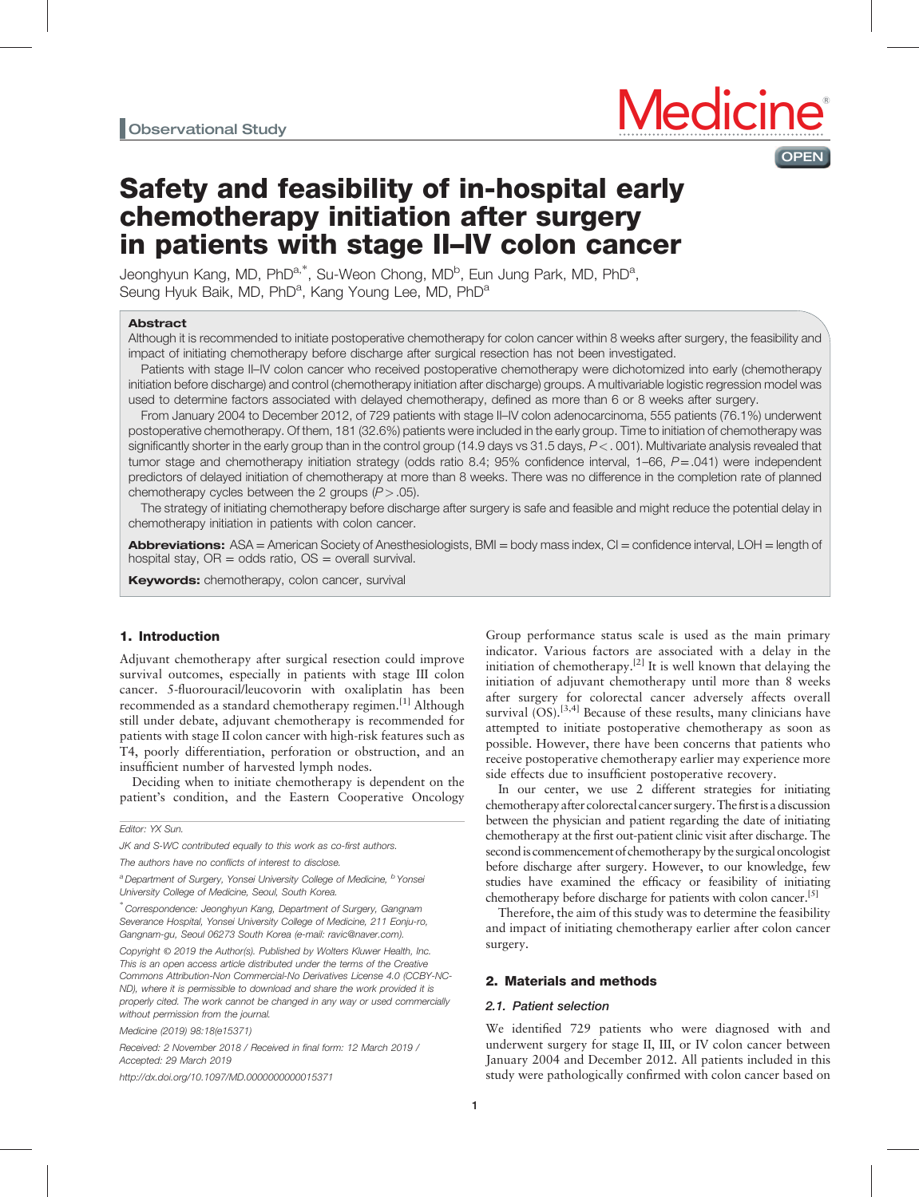

# Safety and feasibility of in-hospital early chemotherapy initiation after surgery in patients with stage II–IV colon cancer

Jeonghyun Kang, MD, PhD<sup>a,\*</sup>, Su-Weon Chong, MD<sup>b</sup>, Eun Jung Park, MD, PhD<sup>a</sup>, Seung Hyuk Baik, MD, PhD<sup>a</sup>, Kang Young Lee, MD, PhD<sup>a</sup>

#### Abstract

Although it is recommended to initiate postoperative chemotherapy for colon cancer within 8 weeks after surgery, the feasibility and impact of initiating chemotherapy before discharge after surgical resection has not been investigated.

Patients with stage II–IV colon cancer who received postoperative chemotherapy were dichotomized into early (chemotherapy initiation before discharge) and control (chemotherapy initiation after discharge) groups. A multivariable logistic regression model was used to determine factors associated with delayed chemotherapy, defined as more than 6 or 8 weeks after surgery.

From January 2004 to December 2012, of 729 patients with stage II–IV colon adenocarcinoma, 555 patients (76.1%) underwent postoperative chemotherapy. Of them, 181 (32.6%) patients were included in the early group. Time to initiation of chemotherapy was significantly shorter in the early group than in the control group (14.9 days vs 31.5 days,  $P < .001$ ). Multivariate analysis revealed that tumor stage and chemotherapy initiation strategy (odds ratio 8.4; 95% confidence interval, 1–66, P=.041) were independent predictors of delayed initiation of chemotherapy at more than 8 weeks. There was no difference in the completion rate of planned chemotherapy cycles between the 2 groups  $(P > .05)$ .

The strategy of initiating chemotherapy before discharge after surgery is safe and feasible and might reduce the potential delay in chemotherapy initiation in patients with colon cancer.

Abbreviations: ASA = American Society of Anesthesiologists, BMI = body mass index, CI = confidence interval, LOH = length of hospital stay,  $OR = odds$  ratio,  $OS = overall$  survival.

Keywords: chemotherapy, colon cancer, survival

## 1. Introduction

Adjuvant chemotherapy after surgical resection could improve survival outcomes, especially in patients with stage III colon cancer. 5-fluorouracil/leucovorin with oxaliplatin has been recommended as a standard chemotherapy regimen.<sup>[\[1\]](#page-6-0)</sup> Although still under debate, adjuvant chemotherapy is recommended for patients with stage II colon cancer with high-risk features such as T4, poorly differentiation, perforation or obstruction, and an insufficient number of harvested lymph nodes.

Deciding when to initiate chemotherapy is dependent on the patient's condition, and the Eastern Cooperative Oncology

Editor: YX Sun.

JK and S-WC contributed equally to this work as co-first authors.

Medicine (2019) 98:18(e15371)

Received: 2 November 2018 / Received in final form: 12 March 2019 / Accepted: 29 March 2019

<http://dx.doi.org/10.1097/MD.0000000000015371>

Group performance status scale is used as the main primary indicator. Various factors are associated with a delay in the initiation of chemotherapy.<sup>[\[2\]](#page-6-0)</sup> It is well known that delaying the initiation of adjuvant chemotherapy until more than 8 weeks after surgery for colorectal cancer adversely affects overall survival  $(OS)$ .<sup>[3,4]</sup> Because of these results, many clinicians have attempted to initiate postoperative chemotherapy as soon as possible. However, there have been concerns that patients who receive postoperative chemotherapy earlier may experience more side effects due to insufficient postoperative recovery.

In our center, we use 2 different strategies for initiating chemotherapy after colorectal cancer surgery.Thefirstis a discussion between the physician and patient regarding the date of initiating chemotherapy at the first out-patient clinic visit after discharge. The second is commencement of chemotherapy by the surgical oncologist before discharge after surgery. However, to our knowledge, few studies have examined the efficacy or feasibility of initiating chemotherapy before discharge for patients with colon cancer.<sup>[5]</sup>

Therefore, the aim of this study was to determine the feasibility and impact of initiating chemotherapy earlier after colon cancer surgery.

# 2. Materials and methods

#### 2.1. Patient selection

We identified 729 patients who were diagnosed with and underwent surgery for stage II, III, or IV colon cancer between January 2004 and December 2012. All patients included in this study were pathologically confirmed with colon cancer based on

The authors have no conflicts of interest to disclose.

<sup>&</sup>lt;sup>a</sup> Department of Surgery, Yonsei University College of Medicine, <sup>b</sup> Yonsei University College of Medicine, Seoul, South Korea.

<sup>∗</sup> Correspondence: Jeonghyun Kang, Department of Surgery, Gangnam Severance Hospital, Yonsei University College of Medicine, 211 Eonju-ro, Gangnam-gu, Seoul 06273 South Korea (e-mail: [ravic@naver.com\)](mailto:ravic@naver.com).

Copyright © 2019 the Author(s). Published by Wolters Kluwer Health, Inc. This is an open access article distributed under the terms of the [Creative](http://creativecommons.org/licenses/by-nc-nd/4.0) [Commons Attribution-Non Commercial-No Derivatives License 4.0](http://creativecommons.org/licenses/by-nc-nd/4.0) (CCBY-NC-ND), where it is permissible to download and share the work provided it is properly cited. The work cannot be changed in any way or used commercially without permission from the journal.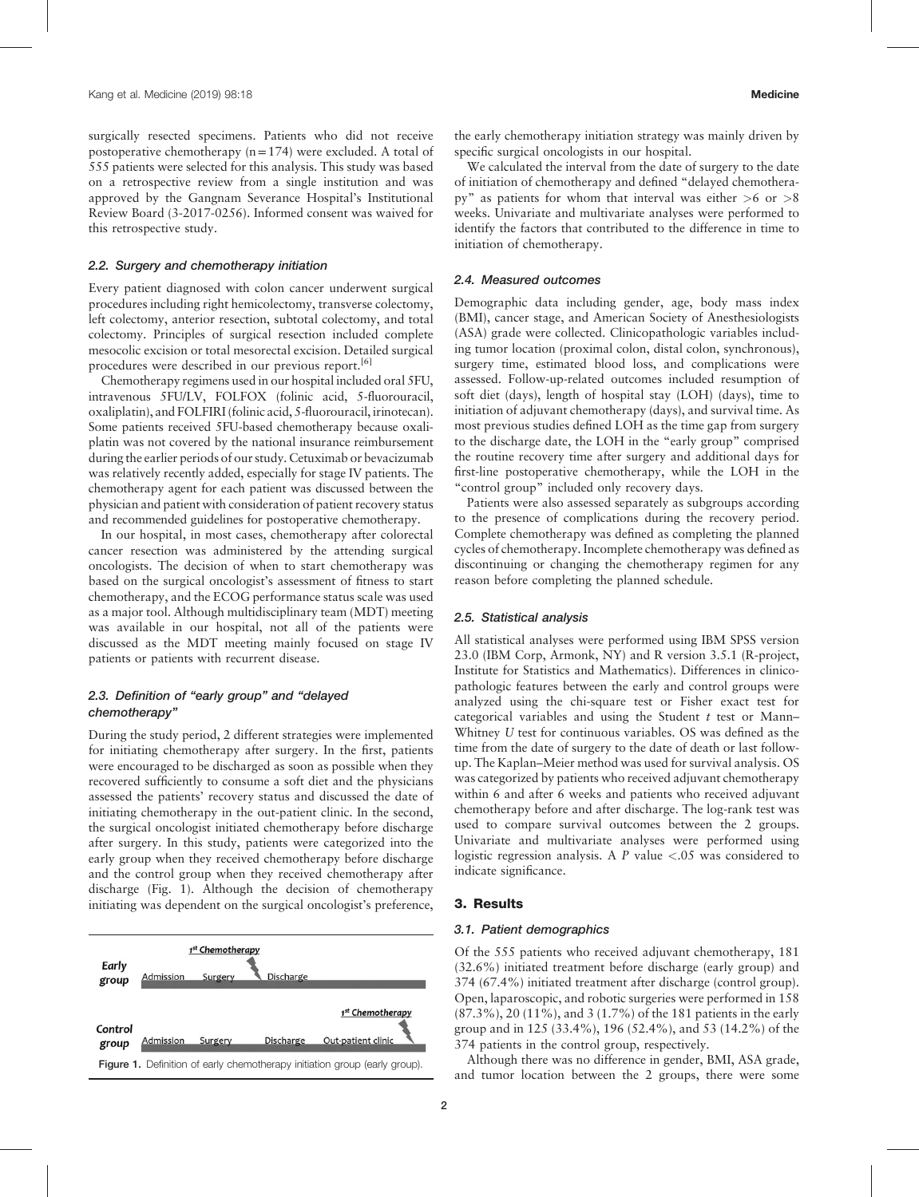surgically resected specimens. Patients who did not receive postoperative chemotherapy  $(n=174)$  were excluded. A total of 555 patients were selected for this analysis. This study was based on a retrospective review from a single institution and was approved by the Gangnam Severance Hospital's Institutional Review Board (3-2017-0256). Informed consent was waived for this retrospective study.

## 2.2. Surgery and chemotherapy initiation

Every patient diagnosed with colon cancer underwent surgical procedures including right hemicolectomy, transverse colectomy, left colectomy, anterior resection, subtotal colectomy, and total colectomy. Principles of surgical resection included complete mesocolic excision or total mesorectal excision. Detailed surgical procedures were described in our previous report.<sup>[\[6\]](#page-6-0)</sup>

Chemotherapy regimens used in our hospital included oral 5FU, intravenous 5FU/LV, FOLFOX (folinic acid, 5-fluorouracil, oxaliplatin), and FOLFIRI (folinic acid, 5-fluorouracil, irinotecan). Some patients received 5FU-based chemotherapy because oxaliplatin was not covered by the national insurance reimbursement during the earlier periods of our study. Cetuximab or bevacizumab was relatively recently added, especially for stage IV patients. The chemotherapy agent for each patient was discussed between the physician and patient with consideration of patient recovery status and recommended guidelines for postoperative chemotherapy.

In our hospital, in most cases, chemotherapy after colorectal cancer resection was administered by the attending surgical oncologists. The decision of when to start chemotherapy was based on the surgical oncologist's assessment of fitness to start chemotherapy, and the ECOG performance status scale was used as a major tool. Although multidisciplinary team (MDT) meeting was available in our hospital, not all of the patients were discussed as the MDT meeting mainly focused on stage IV patients or patients with recurrent disease.

## 2.3. Definition of "early group" and "delayed chemotherapy"

During the study period, 2 different strategies were implemented for initiating chemotherapy after surgery. In the first, patients were encouraged to be discharged as soon as possible when they recovered sufficiently to consume a soft diet and the physicians assessed the patients' recovery status and discussed the date of initiating chemotherapy in the out-patient clinic. In the second, the surgical oncologist initiated chemotherapy before discharge after surgery. In this study, patients were categorized into the early group when they received chemotherapy before discharge and the control group when they received chemotherapy after discharge (Fig. 1). Although the decision of chemotherapy initiating was dependent on the surgical oncologist's preference,



the early chemotherapy initiation strategy was mainly driven by specific surgical oncologists in our hospital.

We calculated the interval from the date of surgery to the date of initiation of chemotherapy and defined "delayed chemotherapy" as patients for whom that interval was either  $>6$  or  $>8$ weeks. Univariate and multivariate analyses were performed to identify the factors that contributed to the difference in time to initiation of chemotherapy.

## 2.4. Measured outcomes

Demographic data including gender, age, body mass index (BMI), cancer stage, and American Society of Anesthesiologists (ASA) grade were collected. Clinicopathologic variables including tumor location (proximal colon, distal colon, synchronous), surgery time, estimated blood loss, and complications were assessed. Follow-up-related outcomes included resumption of soft diet (days), length of hospital stay (LOH) (days), time to initiation of adjuvant chemotherapy (days), and survival time. As most previous studies defined LOH as the time gap from surgery to the discharge date, the LOH in the "early group" comprised the routine recovery time after surgery and additional days for first-line postoperative chemotherapy, while the LOH in the "control group" included only recovery days.

Patients were also assessed separately as subgroups according to the presence of complications during the recovery period. Complete chemotherapy was defined as completing the planned cycles of chemotherapy. Incomplete chemotherapy was defined as discontinuing or changing the chemotherapy regimen for any reason before completing the planned schedule.

## 2.5. Statistical analysis

All statistical analyses were performed using IBM SPSS version 23.0 (IBM Corp, Armonk, NY) and R version 3.5.1 (R-project, Institute for Statistics and Mathematics). Differences in clinicopathologic features between the early and control groups were analyzed using the chi-square test or Fisher exact test for categorical variables and using the Student  $t$  test or Mann– Whitney U test for continuous variables. OS was defined as the time from the date of surgery to the date of death or last followup. The Kaplan–Meier method was used for survival analysis. OS was categorized by patients who received adjuvant chemotherapy within 6 and after 6 weeks and patients who received adjuvant chemotherapy before and after discharge. The log-rank test was used to compare survival outcomes between the 2 groups. Univariate and multivariate analyses were performed using logistic regression analysis. A P value <.05 was considered to indicate significance.

## 3. Results

#### 3.1. Patient demographics

Of the 555 patients who received adjuvant chemotherapy, 181 (32.6%) initiated treatment before discharge (early group) and 374 (67.4%) initiated treatment after discharge (control group). Open, laparoscopic, and robotic surgeries were performed in 158 (87.3%), 20 (11%), and 3 (1.7%) of the 181 patients in the early group and in 125 (33.4%), 196 (52.4%), and 53 (14.2%) of the 374 patients in the control group, respectively.

Although there was no difference in gender, BMI, ASA grade, Figure 1. Definition of early chemotherapy initiation group (early group). Although there was no difference in gender, BMI, ASA grade,<br>and tumor location between the 2 groups, there were some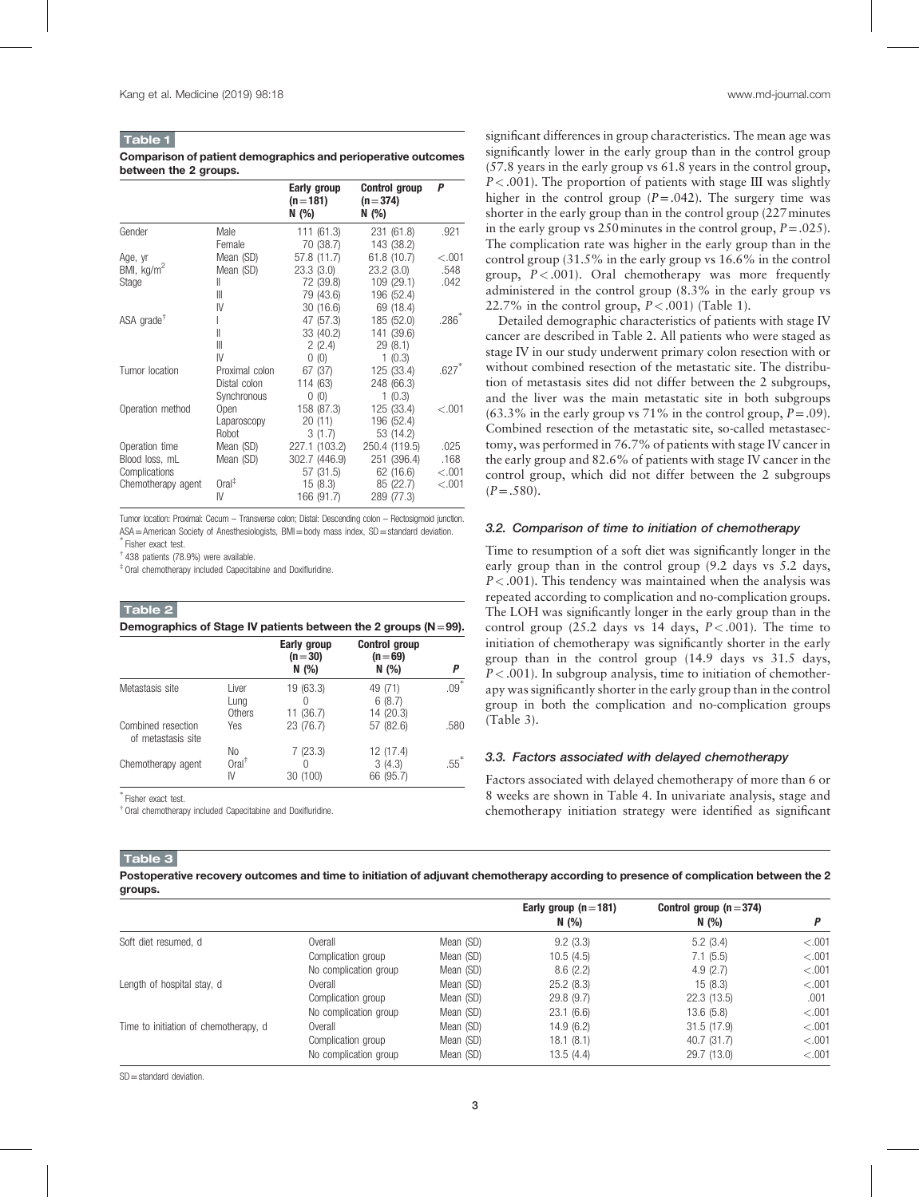# Table 1

Comparison of patient demographics and perioperative outcomes between the 2 groups.

|                     |                   | Early group<br>$(n=181)$<br>N (%) | <b>Control group</b><br>$(n=374)$<br>N(%) | P       |
|---------------------|-------------------|-----------------------------------|-------------------------------------------|---------|
| Gender              | Male              | 111(61.3)                         | 231 (61.8)                                | .921    |
|                     | Female            | 70 (38.7)                         | 143 (38.2)                                |         |
| Age, yr             | Mean (SD)         | 57.8 (11.7)                       | 61.8 (10.7)                               | < 0.001 |
| BMI, $kg/m2$        | Mean (SD)         | 23.3(3.0)                         | 23.2(3.0)                                 | .548    |
| Stage               | Ш                 | 72 (39.8)                         | 109(29.1)                                 | .042    |
|                     | Ш                 | 79 (43.6)                         | 196 (52.4)                                |         |
|                     | IV                | 30(16.6)                          | 69 (18.4)                                 |         |
| ASA grade $\bar{f}$ |                   | 47 (57.3)                         | 185 (52.0)                                | $.286*$ |
|                     | II                | 33 (40.2)                         | 141 (39.6)                                |         |
|                     | $\mathbb{I}$      | 2(2.4)                            | 29(8.1)                                   |         |
|                     | IV                | 0(0)                              | 1(0.3)                                    |         |
| Tumor location      | Proximal colon    | 67 (37)                           | 125 (33.4)                                | $.627*$ |
|                     | Distal colon      | 114 (63)                          | 248 (66.3)                                |         |
|                     | Synchronous       | 0(0)                              | 1(0.3)                                    |         |
| Operation method    | Open              | 158 (87.3)                        | 125 (33.4)                                | $-.001$ |
|                     | Laparoscopy       | 20(11)                            | 196 (52.4)                                |         |
|                     | Robot             | 3(1.7)                            | 53 (14.2)                                 |         |
| Operation time      | Mean (SD)         | 227.1 (103.2)                     | 250.4 (119.5)                             | .025    |
| Blood loss, mL      | Mean (SD)         | 302.7 (446.9)                     | 251 (396.4)                               | .168    |
| Complications       |                   | 57 (31.5)                         | 62 (16.6)                                 | < .001  |
| Chemotherapy agent  | $Oral^{\ddagger}$ | 15(8.3)                           | 85 (22.7)                                 | < 0.001 |
|                     | IV                | 166 (91.7)                        | 289 (77.3)                                |         |

Tumor location: Proximal: Cecum – Transverse colon; Distal: Descending colon – Rectosigmoid junction. ASA=American Society of Anesthesiologists, BMI=body mass index, SD=standard deviation. Fisher exact test.

† 438 patients (78.9%) were available.

‡ Oral chemotherapy included Capecitabine and Doxifluridine.

## Table 2 Demographics of Stage IV patients between the 2 groups  $(N=99)$ .

|                                          |                               | Early group<br>$(n=30)$<br>N(%) | <b>Control group</b><br>$(n=69)$<br>N(%) | Р                  |
|------------------------------------------|-------------------------------|---------------------------------|------------------------------------------|--------------------|
| Metastasis site                          | Liver<br>Lung<br>Others       | 19 (63.3)<br>11(36.7)           | 49 (71)<br>6(8.7)<br>14 (20.3)           | $.09*$             |
| Combined resection<br>of metastasis site | Yes                           | 23 (76.7)                       | 57 (82.6)                                | .580               |
| Chemotherapy agent                       | No<br>Oral <sup>†</sup><br>IV | 7(23.3)<br>30 (100)             | 12 (17.4)<br>3(4.3)<br>66 (95.7)         | $.55$ <sup>*</sup> |

∗ Fisher exact test.

† Oral chemotherapy included Capecitabine and Doxifluridine.

significant differences in group characteristics. The mean age was significantly lower in the early group than in the control group (57.8 years in the early group vs 61.8 years in the control group,  $P < .001$ ). The proportion of patients with stage III was slightly higher in the control group  $(P=.042)$ . The surgery time was shorter in the early group than in the control group (227minutes in the early group vs 250 minutes in the control group,  $P = .025$ ). The complication rate was higher in the early group than in the control group (31.5% in the early group vs 16.6% in the control group,  $P < .001$ ). Oral chemotherapy was more frequently administered in the control group (8.3% in the early group vs 22.7% in the control group,  $P < .001$ ) (Table 1).

Detailed demographic characteristics of patients with stage IV cancer are described in Table 2. All patients who were staged as stage IV in our study underwent primary colon resection with or without combined resection of the metastatic site. The distribution of metastasis sites did not differ between the 2 subgroups, and the liver was the main metastatic site in both subgroups  $(63.3\%$  in the early group vs 71% in the control group,  $P = .09$ ). Combined resection of the metastatic site, so-called metastasectomy, was performed in 76.7% of patients with stage IV cancer in the early group and 82.6% of patients with stage IV cancer in the control group, which did not differ between the 2 subgroups  $(P=.580)$ .

#### 3.2. Comparison of time to initiation of chemotherapy

Time to resumption of a soft diet was significantly longer in the early group than in the control group (9.2 days vs 5.2 days,  $P < .001$ ). This tendency was maintained when the analysis was repeated according to complication and no-complication groups. The LOH was significantly longer in the early group than in the control group  $(25.2$  days vs 14 days,  $P < .001$ ). The time to initiation of chemotherapy was significantly shorter in the early group than in the control group (14.9 days vs 31.5 days,  $P < .001$ ). In subgroup analysis, time to initiation of chemotherapy was significantly shorter in the early group than in the control group in both the complication and no-complication groups (Table 3).

## 3.3. Factors associated with delayed chemotherapy

Factors associated with delayed chemotherapy of more than 6 or 8 weeks are shown in [Table 4](#page-3-0). In univariate analysis, stage and chemotherapy initiation strategy were identified as significant

# Table 3

Postoperative recovery outcomes and time to initiation of adjuvant chemotherapy according to presence of complication between the 2 groups.

|                                       |                       |           | Early group $(n=181)$<br>N $(\% )$ | Control group $(n=374)$<br>N (%) |         |
|---------------------------------------|-----------------------|-----------|------------------------------------|----------------------------------|---------|
| Soft diet resumed, d                  | Overall               | Mean (SD) | 9.2(3.3)                           | 5.2(3.4)                         | < .001  |
|                                       | Complication group    | Mean (SD) | 10.5(4.5)                          | 7.1(5.5)                         | $-.001$ |
|                                       | No complication group | Mean (SD) | 8.6(2.2)                           | 4.9(2.7)                         | < .001  |
| Length of hospital stay, d            | Overall               | Mean (SD) | 25.2(8.3)                          | 15(8.3)                          | $-.001$ |
|                                       | Complication group    | Mean (SD) | 29.8(9.7)                          | 22.3(13.5)                       | .001    |
|                                       | No complication group | Mean (SD) | 23.1(6.6)                          | 13.6(5.8)                        | $-.001$ |
| Time to initiation of chemotherapy, d | Overall               | Mean (SD) | 14.9(6.2)                          | 31.5(17.9)                       | $-.001$ |
|                                       | Complication group    | Mean (SD) | 18.1 (8.1)                         | 40.7 (31.7)                      | < .001  |
|                                       | No complication group | Mean (SD) | 13.5(4.4)                          | 29.7 (13.0)                      | $-.001$ |

SD=standard deviation.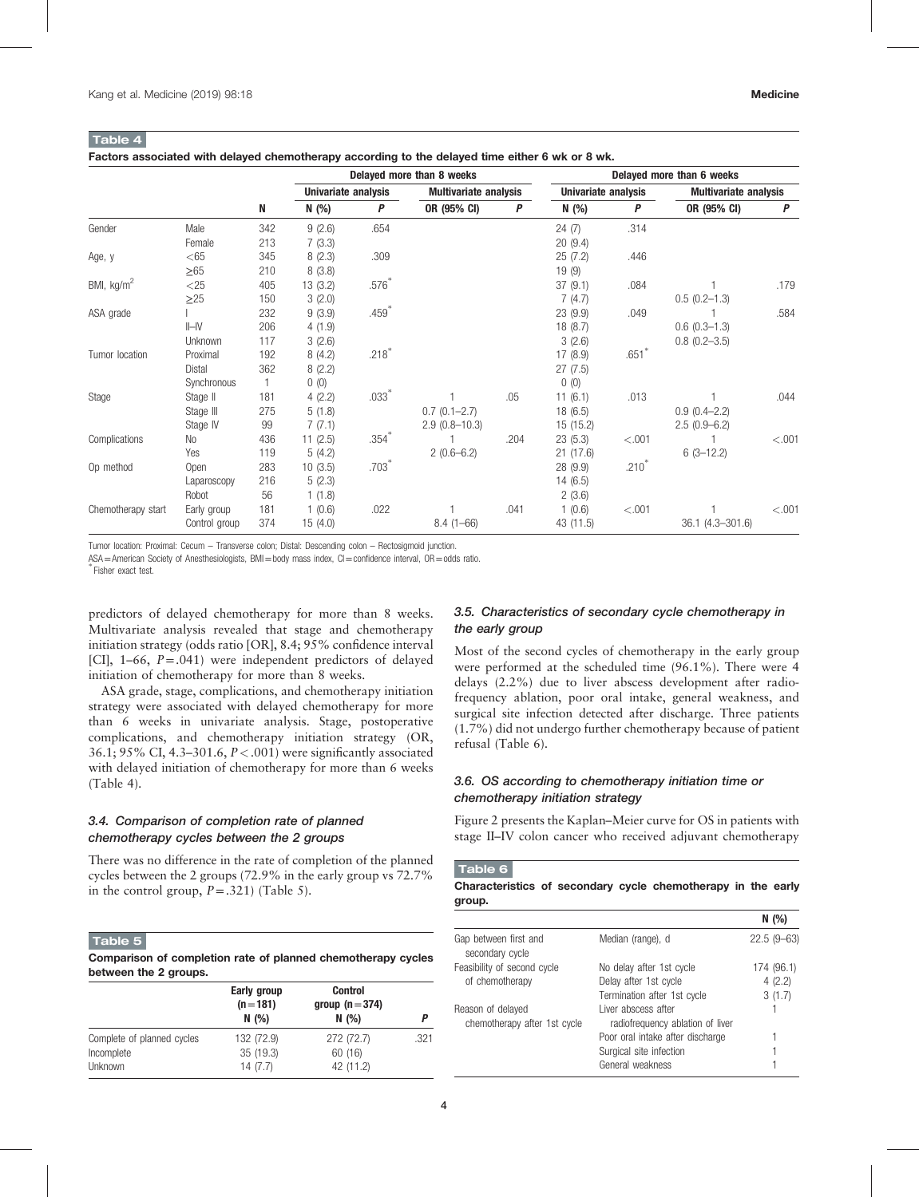<span id="page-3-0"></span>Table 4

|                    |               |              | Delayed more than 8 weeks |                   |                              | Delayed more than 6 weeks |                     |         |                              |         |
|--------------------|---------------|--------------|---------------------------|-------------------|------------------------------|---------------------------|---------------------|---------|------------------------------|---------|
|                    |               |              | Univariate analysis       |                   | <b>Multivariate analysis</b> |                           | Univariate analysis |         | <b>Multivariate analysis</b> |         |
|                    |               | N            | N (%)                     | Ρ                 | OR (95% CI)                  | P                         | N (%)               | P       | OR (95% CI)                  | P       |
| Gender             | Male          | 342          | 9(2.6)                    | .654              |                              |                           | 24(7)               | .314    |                              |         |
|                    | Female        | 213          | 7(3.3)                    |                   |                              |                           | 20(9.4)             |         |                              |         |
| Age, y             | $<$ 65        | 345          | 8(2.3)                    | .309              |                              |                           | 25(7.2)             | .446    |                              |         |
|                    | $\geq 65$     | 210          | 8(3.8)                    |                   |                              |                           | 19(9)               |         |                              |         |
| BMI, $kg/m2$       | $<$ 25        | 405          | 13(3.2)                   | $.576*$           |                              |                           | 37(9.1)             | .084    |                              | .179    |
|                    | $\geq$ 25     | 150          | 3(2.0)                    |                   |                              |                           | 7(4.7)              |         | $0.5(0.2 - 1.3)$             |         |
| ASA grade          |               | 232          | 9(3.9)                    | .459*             |                              |                           | 23(9.9)             | .049    |                              | .584    |
|                    | $II$ -IV      | 206          | 4(1.9)                    |                   |                              |                           | 18(8.7)             |         | $0.6(0.3-1.3)$               |         |
|                    | Unknown       | 117          | 3(2.6)                    |                   |                              |                           | 3(2.6)              |         | $0.8$ $(0.2 - 3.5)$          |         |
| Tumor location     | Proximal      | 192          | 8(4.2)                    | $.218*$           |                              |                           | 17 (8.9)            | $.651*$ |                              |         |
|                    | <b>Distal</b> | 362          | 8(2.2)                    |                   |                              |                           | 27(7.5)             |         |                              |         |
|                    | Synchronous   | $\mathbf{1}$ | 0(0)                      |                   |                              |                           | 0(0)                |         |                              |         |
| Stage              | Stage II      | 181          | 4(2.2)                    | $.033*$           |                              | .05                       | 11(6.1)             | .013    |                              | .044    |
|                    | Stage III     | 275          | 5(1.8)                    |                   | $0.7(0.1 - 2.7)$             |                           | 18(6.5)             |         | $0.9(0.4 - 2.2)$             |         |
|                    | Stage IV      | 99           | 7(7.1)                    |                   | $2.9(0.8 - 10.3)$            |                           | 15 (15.2)           |         | $2.5(0.9-6.2)$               |         |
| Complications      | No            | 436          | 11(2.5)                   | .354 <sup>°</sup> |                              | .204                      | 23(5.3)             | < .001  |                              | < .001  |
|                    | Yes           | 119          | 5(4.2)                    |                   | $2(0.6-6.2)$                 |                           | 21(17.6)            |         | $6(3-12.2)$                  |         |
| Op method          | Open          | 283          | 10(3.5)                   | $.703*$           |                              |                           | 28 (9.9)            | $.210*$ |                              |         |
|                    | Laparoscopy   | 216          | 5(2.3)                    |                   |                              |                           | 14(6.5)             |         |                              |         |
|                    | Robot         | 56           | 1(1.8)                    |                   |                              |                           | 2(3.6)              |         |                              |         |
| Chemotherapy start | Early group   | 181          | 1(0.6)                    | .022              |                              | .041                      | 1(0.6)              | < .001  |                              | < 0.001 |
|                    | Control group | 374          | 15(4.0)                   |                   | $8.4(1 - 66)$                |                           | 43 (11.5)           |         | 36.1 (4.3-301.6)             |         |

Tumor location: Proximal: Cecum – Transverse colon; Distal: Descending colon – Rectosigmoid junction.

ASA=American Society of Anesthesiologists, BMI=body mass index, CI=confidence interval, OR=odds ratio.

Fisher exact test.

predictors of delayed chemotherapy for more than 8 weeks. Multivariate analysis revealed that stage and chemotherapy initiation strategy (odds ratio [OR], 8.4; 95% confidence interval [CI],  $1-66$ ,  $P=.041$ ) were independent predictors of delayed initiation of chemotherapy for more than 8 weeks.

ASA grade, stage, complications, and chemotherapy initiation strategy were associated with delayed chemotherapy for more than 6 weeks in univariate analysis. Stage, postoperative complications, and chemotherapy initiation strategy (OR, 36.1; 95% CI, 4.3–301.6,  $P < .001$ ) were significantly associated with delayed initiation of chemotherapy for more than 6 weeks (Table 4).

# 3.4. Comparison of completion rate of planned chemotherapy cycles between the 2 groups

There was no difference in the rate of completion of the planned cycles between the 2 groups (72.9% in the early group vs 72.7% in the control group,  $P = .321$ ) (Table 5).

# Table 5

Comparison of completion rate of planned chemotherapy cycles between the 2 groups.

|                            | Early group<br>$(n=181)$<br>N(%) | <b>Control</b><br>group ( $n = 374$ )<br>N(%) |      |
|----------------------------|----------------------------------|-----------------------------------------------|------|
| Complete of planned cycles | 132 (72.9)                       | 272 (72.7)                                    | .321 |
| Incomplete                 | 35 (19.3)                        | 60 (16)                                       |      |
| Unknown                    | 14(7.7)                          | 42 (11.2)                                     |      |

## 3.5. Characteristics of secondary cycle chemotherapy in the early group

Most of the second cycles of chemotherapy in the early group were performed at the scheduled time (96.1%). There were 4 delays (2.2%) due to liver abscess development after radiofrequency ablation, poor oral intake, general weakness, and surgical site infection detected after discharge. Three patients (1.7%) did not undergo further chemotherapy because of patient refusal (Table 6).

# 3.6. OS according to chemotherapy initiation time or chemotherapy initiation strategy

[Figure 2](#page-4-0) presents the Kaplan–Meier curve for OS in patients with stage II–IV colon cancer who received adjuvant chemotherapy

#### Table 6

Characteristics of secondary cycle chemotherapy in the early group.

|                                                   |                                                         | N(%)         |
|---------------------------------------------------|---------------------------------------------------------|--------------|
| Gap between first and<br>secondary cycle          | Median (range), d                                       | $22.5(9-63)$ |
| Feasibility of second cycle                       | No delay after 1st cycle                                | 174 (96.1)   |
| of chemotherapy                                   | Delay after 1st cycle                                   | 4(2.2)       |
|                                                   | Termination after 1st cycle                             | 3(1.7)       |
| Reason of delayed<br>chemotherapy after 1st cycle | Liver abscess after<br>radiofrequency ablation of liver |              |
|                                                   | Poor oral intake after discharge                        |              |
|                                                   | Surgical site infection                                 |              |
|                                                   | General weakness                                        |              |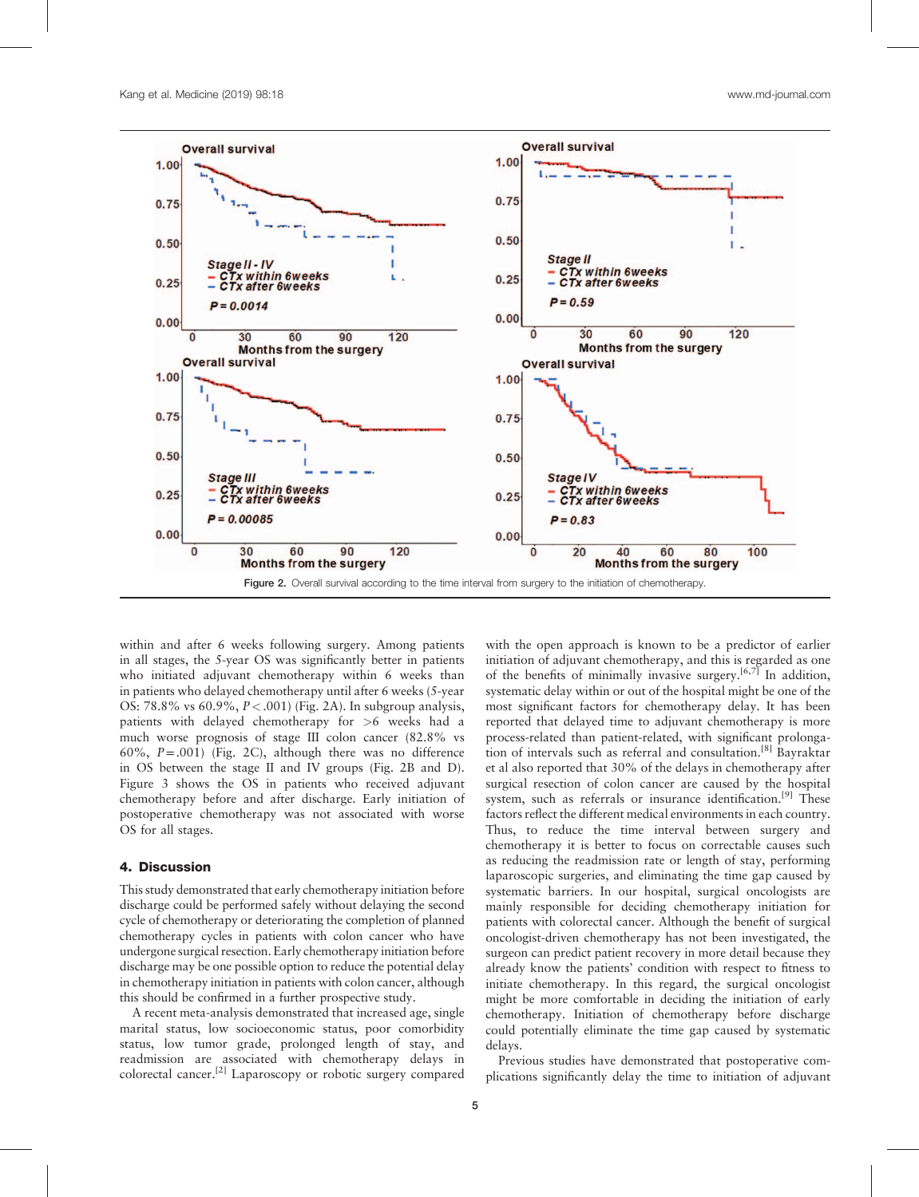<span id="page-4-0"></span>

within and after 6 weeks following surgery. Among patients in all stages, the 5-year OS was significantly better in patients who initiated adjuvant chemotherapy within 6 weeks than in patients who delayed chemotherapy until after 6 weeks (5-year OS: 78.8% vs 60.9%, P<.001) (Fig. 2A). In subgroup analysis, patients with delayed chemotherapy for >6 weeks had a much worse prognosis of stage III colon cancer (82.8% vs 60%,  $P = .001$ ) (Fig. 2C), although there was no difference in OS between the stage II and IV groups (Fig. 2B and D). [Figure 3](#page-5-0) shows the OS in patients who received adjuvant chemotherapy before and after discharge. Early initiation of postoperative chemotherapy was not associated with worse OS for all stages.

## 4. Discussion

This study demonstrated that early chemotherapy initiation before discharge could be performed safely without delaying the second cycle of chemotherapy or deteriorating the completion of planned chemotherapy cycles in patients with colon cancer who have undergone surgical resection. Early chemotherapy initiation before discharge may be one possible option to reduce the potential delay in chemotherapy initiation in patients with colon cancer, although this should be confirmed in a further prospective study.

A recent meta-analysis demonstrated that increased age, single marital status, low socioeconomic status, poor comorbidity status, low tumor grade, prolonged length of stay, and readmission are associated with chemotherapy delays in colorectal cancer.[\[2\]](#page-6-0) Laparoscopy or robotic surgery compared

with the open approach is known to be a predictor of earlier initiation of adjuvant chemotherapy, and this is regarded as one of the benefits of minimally invasive surgery.<sup>[6,7]</sup> In addition, systematic delay within or out of the hospital might be one of the most significant factors for chemotherapy delay. It has been reported that delayed time to adjuvant chemotherapy is more process-related than patient-related, with significant prolonga-tion of intervals such as referral and consultation.<sup>[\[8\]](#page-6-0)</sup> Bayraktar et al also reported that 30% of the delays in chemotherapy after surgical resection of colon cancer are caused by the hospital system, such as referrals or insurance identification.<sup>[9]</sup> These factors reflect the different medical environments in each country. Thus, to reduce the time interval between surgery and chemotherapy it is better to focus on correctable causes such as reducing the readmission rate or length of stay, performing laparoscopic surgeries, and eliminating the time gap caused by systematic barriers. In our hospital, surgical oncologists are mainly responsible for deciding chemotherapy initiation for patients with colorectal cancer. Although the benefit of surgical oncologist-driven chemotherapy has not been investigated, the surgeon can predict patient recovery in more detail because they already know the patients' condition with respect to fitness to initiate chemotherapy. In this regard, the surgical oncologist might be more comfortable in deciding the initiation of early chemotherapy. Initiation of chemotherapy before discharge could potentially eliminate the time gap caused by systematic delays.

Previous studies have demonstrated that postoperative complications significantly delay the time to initiation of adjuvant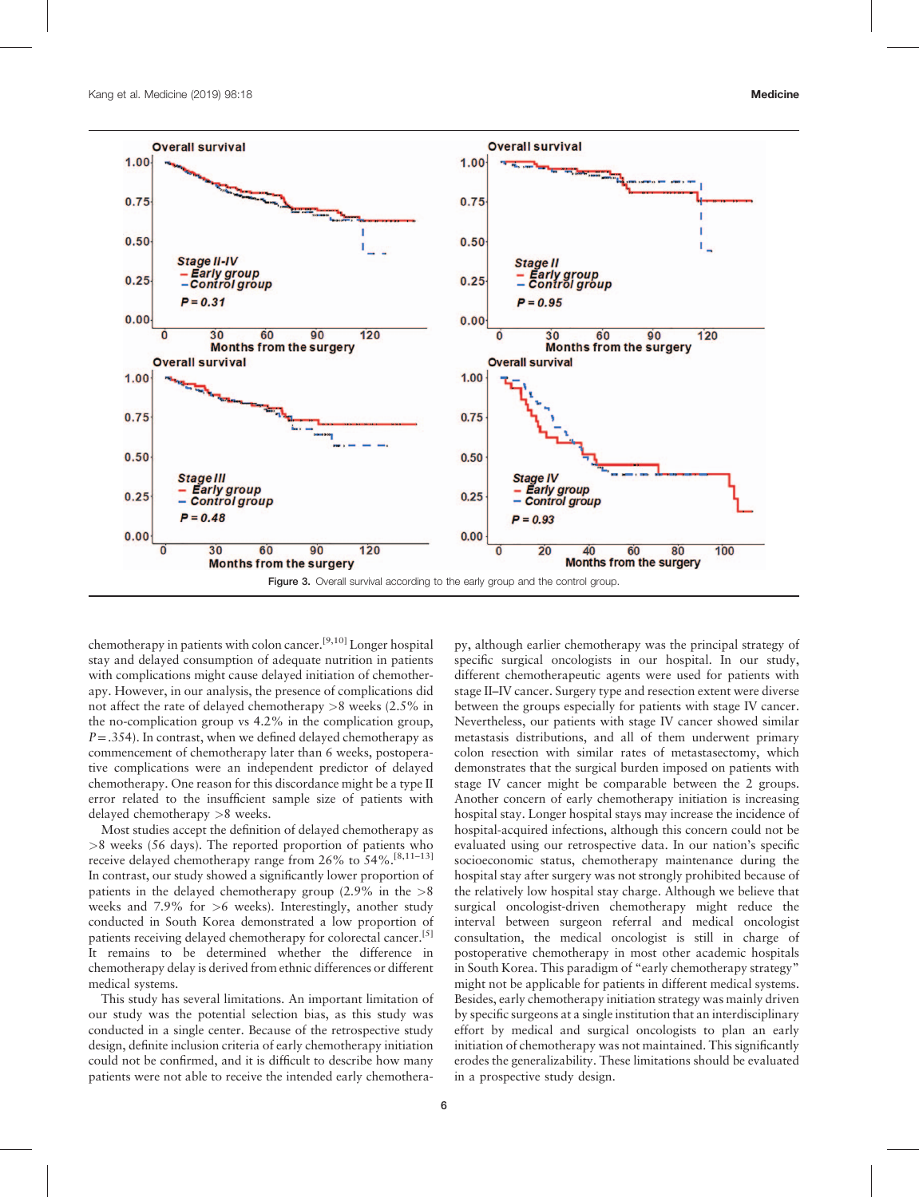<span id="page-5-0"></span>

chemotherapy in patients with colon cancer.[9,10] Longer hospital stay and delayed consumption of adequate nutrition in patients with complications might cause delayed initiation of chemotherapy. However, in our analysis, the presence of complications did not affect the rate of delayed chemotherapy >8 weeks (2.5% in the no-complication group vs 4.2% in the complication group,  $P = .354$ ). In contrast, when we defined delayed chemotherapy as commencement of chemotherapy later than 6 weeks, postoperative complications were an independent predictor of delayed chemotherapy. One reason for this discordance might be a type II error related to the insufficient sample size of patients with delayed chemotherapy >8 weeks.

Most studies accept the definition of delayed chemotherapy as >8 weeks (56 days). The reported proportion of patients who receive delayed chemotherapy range from 26% to 54%.<sup>[8,11-13]</sup> In contrast, our study showed a significantly lower proportion of patients in the delayed chemotherapy group  $(2.9\%$  in the  $>8$ weeks and  $7.9\%$  for  $>6$  weeks). Interestingly, another study conducted in South Korea demonstrated a low proportion of patients receiving delayed chemotherapy for colorectal cancer.<sup>[\[5\]](#page-6-0)</sup> It remains to be determined whether the difference in chemotherapy delay is derived from ethnic differences or different medical systems.

This study has several limitations. An important limitation of our study was the potential selection bias, as this study was conducted in a single center. Because of the retrospective study design, definite inclusion criteria of early chemotherapy initiation could not be confirmed, and it is difficult to describe how many patients were not able to receive the intended early chemotherapy, although earlier chemotherapy was the principal strategy of specific surgical oncologists in our hospital. In our study, different chemotherapeutic agents were used for patients with stage II–IV cancer. Surgery type and resection extent were diverse between the groups especially for patients with stage IV cancer. Nevertheless, our patients with stage IV cancer showed similar metastasis distributions, and all of them underwent primary colon resection with similar rates of metastasectomy, which demonstrates that the surgical burden imposed on patients with stage IV cancer might be comparable between the 2 groups. Another concern of early chemotherapy initiation is increasing hospital stay. Longer hospital stays may increase the incidence of hospital-acquired infections, although this concern could not be evaluated using our retrospective data. In our nation's specific socioeconomic status, chemotherapy maintenance during the hospital stay after surgery was not strongly prohibited because of the relatively low hospital stay charge. Although we believe that surgical oncologist-driven chemotherapy might reduce the interval between surgeon referral and medical oncologist consultation, the medical oncologist is still in charge of postoperative chemotherapy in most other academic hospitals in South Korea. This paradigm of "early chemotherapy strategy" might not be applicable for patients in different medical systems. Besides, early chemotherapy initiation strategy was mainly driven by specific surgeons at a single institution that an interdisciplinary effort by medical and surgical oncologists to plan an early initiation of chemotherapy was not maintained. This significantly erodes the generalizability. These limitations should be evaluated in a prospective study design.